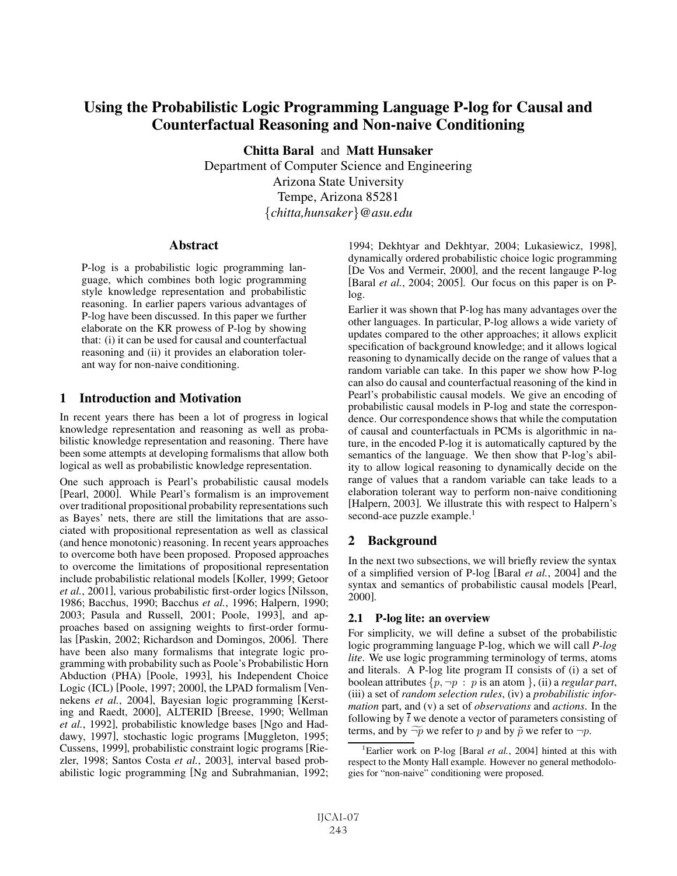# Using the Probabilistic Logic Programming Language P-log for Causal and Counterfactual Reasoning and Non-naive Conditioning

Chitta Baral and Matt Hunsaker

Department of Computer Science and Engineering Arizona State University Tempe, Arizona 85281 {*chitta,hunsaker*}*@asu.edu*

### **Abstract**

P-log is a probabilistic logic programming language, which combines both logic programming style knowledge representation and probabilistic reasoning. In earlier papers various advantages of P-log have been discussed. In this paper we further elaborate on the KR prowess of P-log by showing that: (i) it can be used for causal and counterfactual reasoning and (ii) it provides an elaboration tolerant way for non-naive conditioning.

## 1 Introduction and Motivation

In recent years there has been a lot of progress in logical knowledge representation and reasoning as well as probabilistic knowledge representation and reasoning. There have been some attempts at developing formalisms that allow both logical as well as probabilistic knowledge representation.

One such approach is Pearl's probabilistic causal models [Pearl, 2000]. While Pearl's formalism is an improvement over traditional propositional probability representations such as Bayes' nets, there are still the limitations that are associated with propositional representation as well as classical (and hence monotonic) reasoning. In recent years approaches to overcome both have been proposed. Proposed approaches to overcome the limitations of propositional representation include probabilistic relational models [Koller, 1999; Getoor *et al.*, 2001], various probabilistic first-order logics [Nilsson, 1986; Bacchus, 1990; Bacchus *et al.*, 1996; Halpern, 1990; 2003; Pasula and Russell, 2001; Poole, 1993], and approaches based on assigning weights to first-order formulas [Paskin, 2002; Richardson and Domingos, 2006]. There have been also many formalisms that integrate logic programming with probability such as Poole's Probabilistic Horn Abduction (PHA) [Poole, 1993], his Independent Choice Logic (ICL) [Poole, 1997; 2000], the LPAD formalism [Vennekens *et al.*, 2004], Bayesian logic programming [Kersting and Raedt, 2000], ALTERID [Breese, 1990; Wellman *et al.*, 1992], probabilistic knowledge bases [Ngo and Haddawy, 1997], stochastic logic programs [Muggleton, 1995; Cussens, 1999], probabilistic constraint logic programs [Riezler, 1998; Santos Costa *et al.*, 2003], interval based probabilistic logic programming [Ng and Subrahmanian, 1992;

1994; Dekhtyar and Dekhtyar, 2004; Lukasiewicz, 1998], dynamically ordered probabilistic choice logic programming [De Vos and Vermeir, 2000], and the recent langauge P-log [Baral *et al.*, 2004; 2005]. Our focus on this paper is on Plog.

Earlier it was shown that P-log has many advantages over the other languages. In particular, P-log allows a wide variety of updates compared to the other approaches; it allows explicit specification of background knowledge; and it allows logical reasoning to dynamically decide on the range of values that a random variable can take. In this paper we show how P-log can also do causal and counterfactual reasoning of the kind in Pearl's probabilistic causal models. We give an encoding of probabilistic causal models in P-log and state the correspondence. Our correspondence shows that while the computation of causal and counterfactuals in PCMs is algorithmic in nature, in the encoded P-log it is automatically captured by the semantics of the language. We then show that P-log's ability to allow logical reasoning to dynamically decide on the range of values that a random variable can take leads to a elaboration tolerant way to perform non-naive conditioning [Halpern, 2003]. We illustrate this with respect to Halpern's second-ace puzzle example.<sup>1</sup>

# 2 Background

In the next two subsections, we will briefly review the syntax of a simplified version of P-log [Baral *et al.*, 2004] and the syntax and semantics of probabilistic causal models [Pearl, 2000].

### 2.1 P-log lite: an overview

For simplicity, we will define a subset of the probabilistic logic programming language P-log, which we will call *P-log lite*. We use logic programming terminology of terms, atoms and literals. A P-log lite program  $\Pi$  consists of (i) a set of boolean attributes  $\{p, \neg p : p \text{ is an atom } \}$ , (ii) a *regular part*, (iii) a set of *random selection rules*, (iv) a *probabilistic information* part, and (v) a set of *observations* and *actions*. In the following by  $\overline{t}$  we denote a vector of parameters consisting of terms, and by  $\widetilde{\neg p}$  we refer to p and by  $\tilde{p}$  we refer to  $\neg p$ .

<sup>&</sup>lt;sup>1</sup>Earlier work on P-log [Baral *et al.*, 2004] hinted at this with respect to the Monty Hall example. However no general methodologies for "non-naive" conditioning were proposed.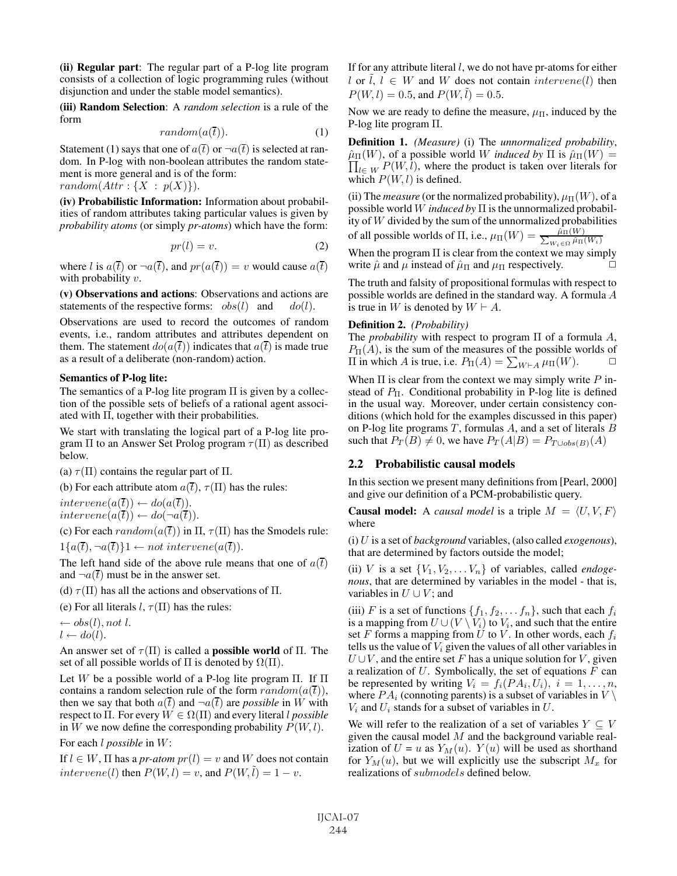(ii) Regular part: The regular part of a P-log lite program consists of a collection of logic programming rules (without disjunction and under the stable model semantics).

(iii) Random Selection: A *random selection* is a rule of the form

$$
random(a(\overline{t})). \tag{1}
$$

Statement (1) says that one of  $a(\overline{t})$  or  $\neg a(\overline{t})$  is selected at random. In P-log with non-boolean attributes the random statement is more general and is of the form:  $random(Attr: \{X : p(X)\}).$ 

(iv) Probabilistic Information: Information about probabilities of random attributes taking particular values is given by *probability atoms* (or simply *pr-atoms*) which have the form:

$$
pr(l) = v.
$$
 (2)

where l is  $a(\bar{t})$  or  $\neg a(\bar{t})$ , and  $pr(a(\bar{t})) = v$  would cause  $a(\bar{t})$ with probability  $v$ .

(v) Observations and actions: Observations and actions are statements of the respective forms:  $obs(l)$  and  $do(l)$ .

Observations are used to record the outcomes of random events, i.e., random attributes and attributes dependent on them. The statement  $do(a(\bar{t}))$  indicates that  $a(\bar{t})$  is made true as a result of a deliberate (non-random) action.

#### Semantics of P-log lite:

The semantics of a P-log lite program  $\Pi$  is given by a collection of the possible sets of beliefs of a rational agent associated with Π, together with their probabilities.

We start with translating the logical part of a P-log lite program  $\Pi$  to an Answer Set Prolog program  $\tau(\Pi)$  as described below.

(a)  $\tau(\Pi)$  contains the regular part of  $\Pi$ .

(b) For each attribute atom  $a(\overline{t})$ ,  $\tau(\Pi)$  has the rules:

 $intervene(a(\overline{t})) \leftarrow do(a(\overline{t})).$  $intervene(a(\overline{t})) \leftarrow do(\neg a(\overline{t})).$ 

(c) For each  $random(a(\bar{t}))$  in  $\Pi$ ,  $\tau(\Pi)$  has the Smodels rule:  $1\{a(\overline{t}), \neg a(\overline{t})\}\}\longrightarrow not\$ intervene $(a(\overline{t})).$ 

The left hand side of the above rule means that one of  $a(\overline{t})$ and  $\neg a(\overline{t})$  must be in the answer set.

(d)  $\tau(\Pi)$  has all the actions and observations of  $\Pi$ .

(e) For all literals  $l, \tau(\Pi)$  has the rules:

 $\leftarrow$  obs(l), not l.  $l \leftarrow do(l).$ 

An answer set of  $\tau(\Pi)$  is called a **possible world** of  $\Pi$ . The set of all possible worlds of  $\Pi$  is denoted by  $\Omega(\Pi)$ .

Let W be a possible world of a P-log lite program  $\Pi$ . If  $\Pi$ contains a random selection rule of the form  $random(a(\overline{t})),$ then we say that both  $a(t)$  and  $\neg a(t)$  are *possible* in W with respect to  $\Pi$ . For every  $W \in \Omega(\Pi)$  and every literal *l* possible in W we now define the corresponding probability  $P(W, l)$ .

For each l *possible* in W:

If  $l \in W$ ,  $\Pi$  has a *pr-atom*  $pr(l) = v$  and W does not contain intervene(l) then  $P(W, l) = v$ , and  $P(W, l) = 1 - v$ .

If for any attribute literal  $l$ , we do not have pr-atoms for either l or  $\tilde{l}$ ,  $l \in W$  and W does not contain  $intervene(l)$  then  $P(W, l) = 0.5$ , and  $P(W, l) = 0.5$ .

Now we are ready to define the measure,  $\mu_{\Pi}$ , induced by the P-log lite program Π.

Definition 1. *(Measure)* (i) The *unnormalized probability*,  $\prod_{l \in W} P(W, l)$ , where the product is taken over literals for  $\hat{\mu}_{\Pi}(W)$ , of a possible world W *induced by*  $\Pi$  is  $\hat{\mu}_{\Pi}(W) =$ which  $P(W, l)$  is defined.

(ii) The *measure* (or the normalized probability),  $\mu$ <sub>II</sub>(W), of a possible world W *induced by* Π is the unnormalized probability of  $W$  divided by the sum of the unnormalized probabilities of all possible worlds of  $\Pi$ , i.e.,  $\mu_{\Pi}(W) = \frac{\hat{\mu}_{\Pi}(W)}{\sum_{W \in \Omega} \hat{\mu}_{\Pi}(W)}$  $\overline{W_i \in \Omega \mu(\overline{W_i})}$ 

When the program  $\Pi$  is clear from the context we may simply write  $\hat{\mu}$  and  $\mu$  instead of  $\hat{\mu}_{\Pi}$  and  $\mu_{\Pi}$  respectively.

The truth and falsity of propositional formulas with respect to possible worlds are defined in the standard way. A formula A is true in W is denoted by  $W \vdash A$ .

#### Definition 2. *(Probability)*

The *probability* with respect to program Π of a formula A,  $P_{\Pi}(A)$ , is the sum of the measures of the possible worlds of  $\Pi$  in which A is true, i.e.  $P_{\Pi}(A) = \sum_{W \vdash A} \mu_{\Pi}(W)$ .  $\Box$ 

When  $\Pi$  is clear from the context we may simply write  $P$  instead of  $P_{\Pi}$ . Conditional probability in P-log lite is defined in the usual way. Moreover, under certain consistency conditions (which hold for the examples discussed in this paper) on P-log lite programs  $T$ , formulas  $A$ , and a set of literals  $B$ such that  $P_T(B) \neq 0$ , we have  $P_T(A|B) = P_{T \cup obs(B)}(A)$ 

#### 2.2 Probabilistic causal models

In this section we present many definitions from [Pearl, 2000] and give our definition of a PCM-probabilistic query.

**Causal model:** A *causal model* is a triple  $M = \langle U, V, F \rangle$ where

(i) U is a set of *background* variables, (also called *exogenous*), that are determined by factors outside the model;

(ii) V is a set  $\{V_1, V_2, \ldots V_n\}$  of variables, called *endogenous*, that are determined by variables in the model - that is, variables in  $U \cup V$ ; and

(iii) F is a set of functions  $\{f_1, f_2, \ldots, f_n\}$ , such that each  $f_i$ is a mapping from  $U \cup (V \setminus V_i)$  to  $V_i$ , and such that the entire set F forms a mapping from  $U$  to  $V$ . In other words, each  $f_i$ tells us the value of  $V_i$  given the values of all other variables in  $U \cup V$ , and the entire set F has a unique solution for V, given a realization of  $U$ . Symbolically, the set of equations  $F$  can be represented by writing  $V_i = f_i(P A_i, U_i), i = 1, \ldots, n$ , where  $PA_i$  (connoting parents) is a subset of variables in  $V \setminus$  $V_i$  and  $U_i$  stands for a subset of variables in  $U$ .

We will refer to the realization of a set of variables  $Y \subseteq V$ given the causal model  $M$  and the background variable realization of  $U = u$  as  $Y_M(u)$ .  $Y(u)$  will be used as shorthand for  $Y_M(u)$ , but we will explicitly use the subscript  $M_x$  for realizations of submodels defined below.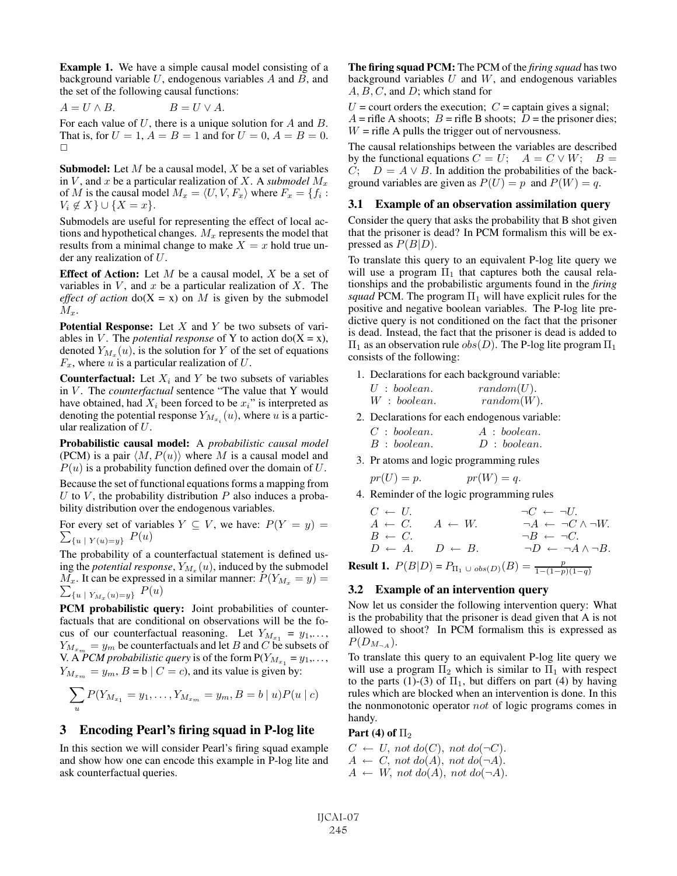Example 1. We have a simple causal model consisting of a background variable  $U$ , endogenous variables  $A$  and  $B$ , and the set of the following causal functions:

$$
A = U \wedge B. \qquad B = U \vee A.
$$

For each value of  $U$ , there is a unique solution for  $A$  and  $B$ . That is, for  $U = 1$ ,  $A = B = 1$  and for  $U = 0$ ,  $A = B = 0$ .  $\Box$ 

**Submodel:** Let  $M$  be a causal model,  $X$  be a set of variables in  $V$ , and  $x$  be a particular realization of  $X$ . A *submodel*  $M_x$ of M is the causal model  $M_x = \langle U, V, F_x \rangle$  where  $F_x = \{f_i :$  $V_i \notin X$ } $\cup \{X = x\}.$ 

Submodels are useful for representing the effect of local actions and hypothetical changes.  $M_x$  represents the model that results from a minimal change to make  $X = x$  hold true under any realization of U.

**Effect of Action:** Let  $M$  be a causal model,  $X$  be a set of variables in  $V$ , and  $x$  be a particular realization of  $X$ . The *effect of action*  $do(X = x)$  on M is given by the submodel  $M_x$ .

**Potential Response:** Let  $X$  and  $Y$  be two subsets of variables in V. The *potential response* of Y to action  $do(X = x)$ , denoted  $Y_{M_x}(u)$ , is the solution for Y of the set of equations  $F_x$ , where u is a particular realization of U.

**Counterfactual:** Let  $X_i$  and Y be two subsets of variables in V. The *counterfactual* sentence "The value that Y would have obtained, had  $X_i$  been forced to be  $x_i$ " is interpreted as denoting the potential response  $Y_{M_{x,i}}(u)$ , where u is a particular realization of  $U$ .

Probabilistic causal model: A *probabilistic causal model* (PCM) is a pair  $\langle M, P(u) \rangle$  where M is a causal model and  $P(u)$  is a probability function defined over the domain of U.

Because the set of functional equations forms a mapping from U to V, the probability distribution  $P$  also induces a probability distribution over the endogenous variables.

For every set of variables  $Y \subseteq V$ , we have:  $P(Y = y) =$  $\sum_{\{u \; | \; Y(u)=y\}} P(u)$ 

The probability of a counterfactual statement is defined using the *potential response*,  $Y_{M_x}(u)$ , induced by the submodel  $\overline{M}_x$ . It can be expressed in a similar manner:  $P(Y_{M_x} = y) = \sum_{\{u \mid Y_{M_x}(u) = y\}} P(u)$ 

PCM probabilistic query: Joint probabilities of counterfactuals that are conditional on observations will be the focus of our counterfactual reasoning. Let  $Y_{M_{x_1}} = y_1, \ldots,$  $Y_{M_{x_m}} = y_m$  be counterfactuals and let B and C be subsets of V. A *PCM probabilistic query* is of the form  $P(Y_{M_{x_1}} = y_1, \ldots,$  $Y_{M_{x_m}} = y_m$ ,  $B = b \mid C = c$ , and its value is given by:

$$
\sum_{u} P(Y_{M_{x_1}} = y_1, \dots, Y_{M_{x_m}} = y_m, B = b \mid u) P(u \mid c)
$$

### 3 Encoding Pearl's firing squad in P-log lite

In this section we will consider Pearl's firing squad example and show how one can encode this example in P-log lite and ask counterfactual queries.

The firing squad PCM: The PCM of the *firing squad* has two background variables  $U$  and  $W$ , and endogenous variables  $A, B, C$ , and  $D$ ; which stand for

 $U =$  court orders the execution;  $C =$  captain gives a signal;  $A =$  rifle A shoots;  $B =$  rifle B shoots;  $D =$  the prisoner dies;  $W =$  rifle A pulls the trigger out of nervousness.

The causal relationships between the variables are described by the functional equations  $C = U$ ;  $A = C \vee W$ ;  $B =$  $C$ ;  $D = A \vee B$ . In addition the probabilities of the background variables are given as  $P(U) = p$  and  $P(W) = q$ .

#### 3.1 Example of an observation assimilation query

Consider the query that asks the probability that B shot given that the prisoner is dead? In PCM formalism this will be expressed as  $P(B|D)$ .

To translate this query to an equivalent P-log lite query we will use a program  $\Pi_1$  that captures both the causal relationships and the probabilistic arguments found in the *firing squad* PCM. The program  $\Pi_1$  will have explicit rules for the positive and negative boolean variables. The P-log lite predictive query is not conditioned on the fact that the prisoner is dead. Instead, the fact that the prisoner is dead is added to  $\Pi_1$  as an observation rule  $obs(D)$ . The P-log lite program  $\Pi_1$ consists of the following:

1. Declarations for each background variable:

| $U: \mathit{boolean}.$ | random(U).    |
|------------------------|---------------|
| W: boolean.            | $random(W)$ . |

- 2. Declarations for each endogenous variable:  $C: boolean.$   $A: boolean.$ <br> $B: boolean.$   $D: boolean.$  $D : boolean.$
- 3. Pr atoms and logic programming rules

$$
pr(U) = p.
$$
  $pr(W) = q.$ 

4. Reminder of the logic programming rules

$$
C \leftarrow U.
$$
  
\n
$$
A \leftarrow C.
$$
  
\n
$$
A \leftarrow W.
$$
  
\n
$$
A \leftarrow W.
$$
  
\n
$$
\neg A \leftarrow \neg C \land \neg W.
$$
  
\n
$$
\neg B \leftarrow \neg C.
$$
  
\n
$$
D \leftarrow A.
$$
  
\n
$$
D \leftarrow B.
$$
  
\n
$$
\neg D \leftarrow \neg A \land \neg B.
$$

**Result 1.**  $P(B|D) = P_{\Pi_1 \cup obs(D)}(B) = \frac{p}{1-(1-p)(1-q)}$ 

#### 3.2 Example of an intervention query

Now let us consider the following intervention query: What is the probability that the prisoner is dead given that A is not allowed to shoot? In PCM formalism this is expressed as  $P(D_{M_{\neg A}}).$ 

To translate this query to an equivalent P-log lite query we will use a program  $\Pi_2$  which is similar to  $\Pi_1$  with respect to the parts (1)-(3) of  $\Pi_1$ , but differs on part (4) by having rules which are blocked when an intervention is done. In this the nonmonotonic operator not of logic programs comes in handy.

#### Part (4) of  $\Pi_2$

 $C \leftarrow U$ , not do(C), not do( $\neg C$ ).  $A \leftarrow C$ , not do(A), not do( $\neg A$ ).  $A \leftarrow W$ , not do(A), not do( $\neg A$ ).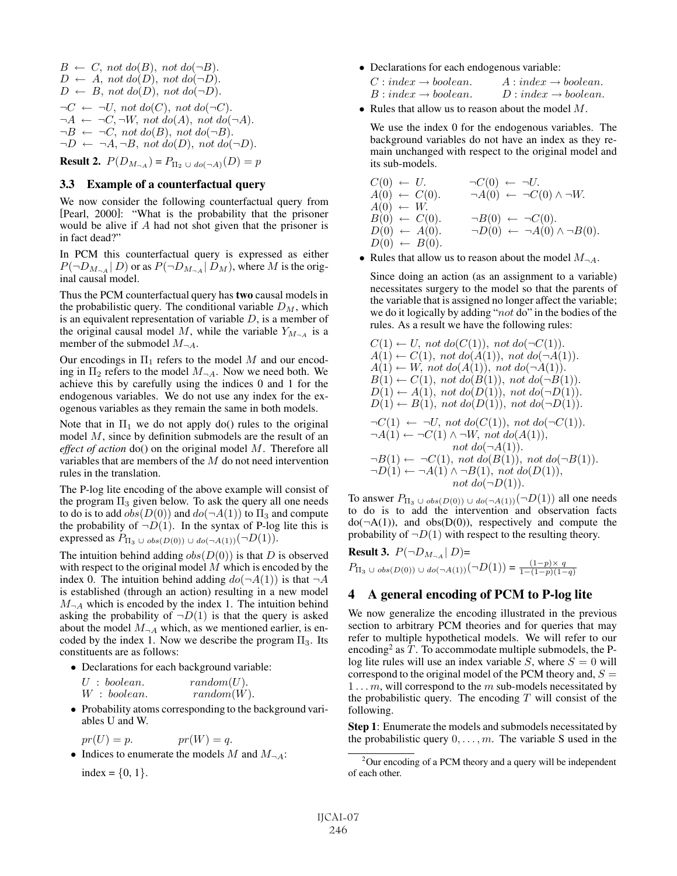$B \leftarrow C$ , not do(B), not do( $\neg B$ ).  $D \leftarrow A$ , not  $do(D)$ , not  $do(\neg D)$ .  $D \leftarrow B$ , not  $do(D)$ , not  $do(\neg D)$ .  $\neg C \leftarrow \neg U$ , not do(C), not do( $\neg C$ ).  $\neg A \leftarrow \neg C, \neg W, \text{ not } \text{do}(A), \text{ not } \text{do}(\neg A).$  $\neg B \leftarrow \neg C$ , not do(B), not do( $\neg B$ ).  $\neg D \leftarrow \neg A, \neg B, \text{ not } \text{do}(D), \text{ not } \text{do}(\neg D).$ 

**Result 2.**  $P(D_{M_{\neg A}}) = P_{\Pi_2 \cup do(\neg A)}(D) = p$ 

### 3.3 Example of a counterfactual query

We now consider the following counterfactual query from [Pearl, 2000]: "What is the probability that the prisoner would be alive if A had not shot given that the prisoner is in fact dead?"

In PCM this counterfactual query is expressed as either  $P(\neg D_{M_{\neg A}} | D)$  or as  $P(\neg D_{M_{\neg A}} | D_M)$ , where M is the original causal model.

Thus the PCM counterfactual query has two causal models in the probabilistic query. The conditional variable  $D_M$ , which is an equivalent representation of variable  $D$ , is a member of the original causal model M, while the variable  $Y_{M_{\neg A}}$  is a member of the submodel  $M_{\neg A}$ .

Our encodings in  $\Pi_1$  refers to the model M and our encoding in  $\Pi_2$  refers to the model  $M_{\neg A}$ . Now we need both. We achieve this by carefully using the indices 0 and 1 for the endogenous variables. We do not use any index for the exogenous variables as they remain the same in both models.

Note that in  $\Pi_1$  we do not apply do() rules to the original model M, since by definition submodels are the result of an *effect of action* do() on the original model M. Therefore all variables that are members of the M do not need intervention rules in the translation.

The P-log lite encoding of the above example will consist of the program  $\Pi_3$  given below. To ask the query all one needs to do is to add  $obs(D(0))$  and  $do(\neg A(1))$  to  $\Pi_3$  and compute the probability of  $\neg D(1)$ . In the syntax of P-log lite this is expressed as  $P_{\Pi_3 \cup obs(D(0)) \cup do(\neg A(1))}(\neg D(1)).$ 

The intuition behind adding  $obs(D(0))$  is that D is observed with respect to the original model  $M$  which is encoded by the index 0. The intuition behind adding  $do(\neg A(1))$  is that  $\neg A$ is established (through an action) resulting in a new model  $M_{\neg A}$  which is encoded by the index 1. The intuition behind asking the probability of  $\neg D(1)$  is that the query is asked about the model  $M_{\neg A}$  which, as we mentioned earlier, is encoded by the index 1. Now we describe the program  $\Pi_3$ . Its constituents are as follows:

• Declarations for each background variable:

|  | $U: \mathit{boolean}.$ | $random(U)$ . |
|--|------------------------|---------------|
|  | $W: \mathit{boolean}.$ | $random(W)$ . |

• Probability atoms corresponding to the background variables U and W.

$$
pr(U) = p. \t\t pr(W) = q.
$$

• Indices to enumerate the models M and  $M_{\neg A}$ : index =  $\{0, 1\}.$ 

• Declarations for each endogenous variable:

| $C: index \rightarrow boolean.$ | $A:index \rightarrow boolean.$  |
|---------------------------------|---------------------------------|
| $B:index \rightarrow boolean.$  | $D: index \rightarrow boolean.$ |

• Rules that allow us to reason about the model  $M$ .

We use the index 0 for the endogenous variables. The background variables do not have an index as they remain unchanged with respect to the original model and its sub-models.

$$
C(0) \leftarrow U. \qquad \neg C(0) \leftarrow \neg U. A(0) \leftarrow C(0). \qquad \neg A(0) \leftarrow \neg C(0) \land \neg W. A(0) \leftarrow W. B(0) \leftarrow C(0). \qquad \neg B(0) \leftarrow \neg C(0). D(0) \leftarrow A(0). \qquad \neg D(0) \leftarrow \neg A(0) \land \neg B(0). D(0) \leftarrow B(0).
$$

• Rules that allow us to reason about the model  $M_{\neg A}$ .

Since doing an action (as an assignment to a variable) necessitates surgery to the model so that the parents of the variable that is assigned no longer affect the variable; we do it logically by adding "not do" in the bodies of the rules. As a result we have the following rules:

$$
C(1) \leftarrow U, not do(C(1)), not do(\neg C(1)).
$$
  
\n
$$
A(1) \leftarrow C(1), not do(A(1)), not do(\neg A(1)).
$$
  
\n
$$
A(1) \leftarrow W, not do(A(1)), not do(\neg A(1)).
$$
  
\n
$$
B(1) \leftarrow C(1), not do(B(1)), not do(\neg B(1)).
$$
  
\n
$$
D(1) \leftarrow A(1), not do(D(1)), not do(\neg D(1)).
$$
  
\n
$$
D(1) \leftarrow B(1), not do(D(1)), not do(\neg D(1)).
$$
  
\n
$$
\neg C(1) \leftarrow \neg U, not do(C(1)), not do(\neg C(1)).
$$
  
\n
$$
\neg A(1) \leftarrow \neg C(1) \land \neg W, not do(A(1)),
$$
  
\n
$$
not do(\neg A(1)).
$$
  
\n
$$
\neg B(1) \leftarrow \neg C(1), not do(B(1)), not do(\neg B(1)).
$$
  
\n
$$
\neg D(1) \leftarrow \neg A(1) \land \neg B(1), not do(D(1)),
$$
  
\n
$$
not do(\neg D(1)).
$$

To answer  $P_{\Pi_3 \cup obs(D(0)) \cup do(\neg A(1))}(\neg D(1))$  all one needs to do is to add the intervention and observation facts  $do(\neg A(1))$ , and  $obs(D(0))$ , respectively and compute the probability of  $\neg D(1)$  with respect to the resulting theory.

**Result 3.**  $P(\neg D_{M_{\neg A}} | D)$ =  $P_{\Pi_3} \cup obs(D(0)) \cup do(\neg A(1)) (\neg D(1)) = \frac{(1-p) \times q}{1-(1-p)(1-q)}$ 

# 4 A general encoding of PCM to P-log lite

We now generalize the encoding illustrated in the previous section to arbitrary PCM theories and for queries that may refer to multiple hypothetical models. We will refer to our encoding<sup>2</sup> as  $T$ . To accommodate multiple submodels, the Plog lite rules will use an index variable  $S$ , where  $S = 0$  will correspond to the original model of the PCM theory and,  $S =$  $1 \ldots m$ , will correspond to the m sub-models necessitated by the probabilistic query. The encoding  $T$  will consist of the following.

Step 1: Enumerate the models and submodels necessitated by the probabilistic query  $0, \ldots, m$ . The variable S used in the

 $2$ Our encoding of a PCM theory and a query will be independent of each other.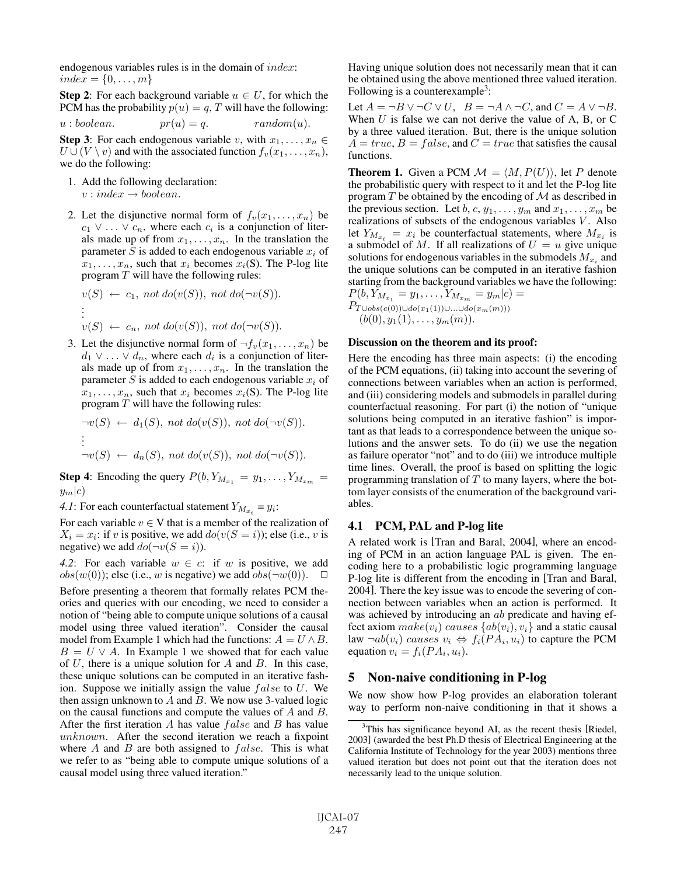endogenous variables rules is in the domain of index:  $index = \{0, \ldots, m\}$ 

**Step 2:** For each background variable  $u \in U$ , for which the PCM has the probability  $p(u) = q$ , T will have the following:

 $u : boolean.$   $pr(u) = q.$  random(u).

**Step 3:** For each endogenous variable v, with  $x_1, \ldots, x_n \in$  $U \cup (V \setminus v)$  and with the associated function  $f_v(x_1,\ldots,x_n)$ , we do the following:

- 1. Add the following declaration:  $v : index \rightarrow boolean.$
- 2. Let the disjunctive normal form of  $f_v(x_1,...,x_n)$  be  $c_1 \vee \ldots \vee c_n$ , where each  $c_i$  is a conjunction of literals made up of from  $x_1, \ldots, x_n$ . In the translation the parameter S is added to each endogenous variable  $x_i$  of  $x_1, \ldots, x_n$ , such that  $x_i$  becomes  $x_i(S)$ . The P-log lite program  $T$  will have the following rules:

$$
v(S) \leftarrow c_1, \text{ not } do(v(S)), \text{ not } do(\neg v(S)).
$$
  
\n:  
\n:  
\n
$$
v(S) \leftarrow c_n, \text{ not } do(v(S)), \text{ not } do(\neg v(S)).
$$

3. Let the disjunctive normal form of  $\neg f_v(x_1,\ldots,x_n)$  be  $d_1 \vee \ldots \vee d_n$ , where each  $d_i$  is a conjunction of literals made up of from  $x_1, \ldots, x_n$ . In the translation the parameter S is added to each endogenous variable  $x_i$  of  $x_1, \ldots, x_n$ , such that  $x_i$  becomes  $x_i(S)$ . The P-log lite program  $T$  will have the following rules:

$$
\neg v(S) \leftarrow d_1(S), \text{ not } d_0(v(S)), \text{ not } d_0(\neg v(S)).
$$
  
\n
$$
\vdots
$$
  
\n
$$
\neg v(S) \leftarrow d_n(S), \text{ not } d_0(v(S)), \text{ not } d_0(\neg v(S)).
$$

**Step 4:** Encoding the query  $P(b, Y_{M_{x_1}} = y_1, \ldots, Y_{M_{x_m}})$  $y_m|c)$ 

*4.1*: For each counterfactual statement  $Y_{M_x} = y_i$ :

For each variable  $v \in V$  that is a member of the realization of  $X_i = x_i$ : if v is positive, we add  $do(v(S = i))$ ; else (i.e., v is negative) we add  $do(\neg v(S = i))$ .

*4.2*: For each variable  $w \in c$ : if w is positive, we add  $obs(w(0))$ ; else (i.e., w is negative) we add  $obs(\neg w(0))$ .  $\Box$ 

Before presenting a theorem that formally relates PCM theories and queries with our encoding, we need to consider a notion of "being able to compute unique solutions of a causal model using three valued iteration". Consider the causal model from Example 1 which had the functions:  $A = U \wedge B$ .  $B = U \vee A$ . In Example 1 we showed that for each value of  $U$ , there is a unique solution for  $A$  and  $B$ . In this case, these unique solutions can be computed in an iterative fashion. Suppose we initially assign the value  $false$  to  $U$ . We then assign unknown to  $A$  and  $B$ . We now use 3-valued logic on the causal functions and compute the values of A and B. After the first iteration  $A$  has value  $false$  and  $B$  has value unknown. After the second iteration we reach a fixpoint where  $A$  and  $B$  are both assigned to  $false$ . This is what we refer to as "being able to compute unique solutions of a causal model using three valued iteration."

Having unique solution does not necessarily mean that it can be obtained using the above mentioned three valued iteration. Following is a counterexample<sup>3</sup>:

Let  $A = \neg B \lor \neg C \lor U$ ,  $B = \neg A \land \neg C$ , and  $C = A \lor \neg B$ . When  $U$  is false we can not derive the value of A, B, or C by a three valued iteration. But, there is the unique solution  $A = true, B = false, and C = true$  that satisfies the causal functions.

**Theorem 1.** Given a PCM  $\mathcal{M} = \langle M, P(U) \rangle$ , let P denote the probabilistic query with respect to it and let the P-log lite program  $T$  be obtained by the encoding of  $M$  as described in the previous section. Let b, c,  $y_1, \ldots, y_m$  and  $x_1, \ldots, x_m$  be realizations of subsets of the endogenous variables  $V$ . Also let  $Y_{M_{x_i}} = x_i$  be counterfactual statements, where  $M_{x_i}$  is a submodel of M. If all realizations of  $U = u$  give unique solutions for endogenous variables in the submodels  $M_{x_i}$  and the unique solutions can be computed in an iterative fashion starting from the background variables we have the following:  $P(b, Y_{M_{x_1}} = y_1, \ldots, Y_{M_{x_m}} = y_m|c) =$  $P_{T\cup obs(c(0))\cup do(x_1(1))\cup...\cup do(x_m(m)))}$ 

 $(b(0), y_1(1), \ldots, y_m(m)).$ 

#### Discussion on the theorem and its proof:

Here the encoding has three main aspects: (i) the encoding of the PCM equations, (ii) taking into account the severing of connections between variables when an action is performed, and (iii) considering models and submodels in parallel during counterfactual reasoning. For part (i) the notion of "unique solutions being computed in an iterative fashion" is important as that leads to a correspondence between the unique solutions and the answer sets. To do (ii) we use the negation as failure operator "not" and to do (iii) we introduce multiple time lines. Overall, the proof is based on splitting the logic programming translation of  $T$  to many layers, where the bottom layer consists of the enumeration of the background variables.

#### 4.1 PCM, PAL and P-log lite

A related work is [Tran and Baral, 2004], where an encoding of PCM in an action language PAL is given. The encoding here to a probabilistic logic programming language P-log lite is different from the encoding in [Tran and Baral, 2004]. There the key issue was to encode the severing of connection between variables when an action is performed. It was achieved by introducing an *ab* predicate and having effect axiom  $make(v_i)$  causes  $\{ab(v_i), v_i\}$  and a static causal law  $\neg ab(v_i)$  causes  $v_i \Leftrightarrow f_i(PA_i, u_i)$  to capture the PCM equation  $v_i = f_i(P A_i, u_i)$ .

### 5 Non-naive conditioning in P-log

We now show how P-log provides an elaboration tolerant way to perform non-naive conditioning in that it shows a

<sup>&</sup>lt;sup>3</sup>This has significance beyond AI, as the recent thesis [Riedel, 2003] (awarded the best Ph.D thesis of Electrical Engineering at the California Institute of Technology for the year 2003) mentions three valued iteration but does not point out that the iteration does not necessarily lead to the unique solution.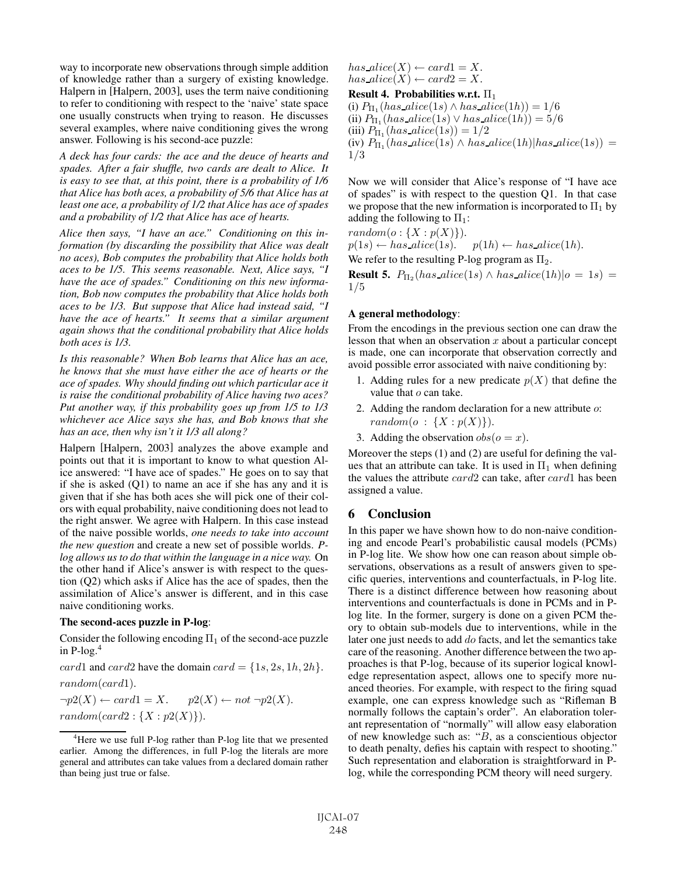way to incorporate new observations through simple addition of knowledge rather than a surgery of existing knowledge. Halpern in [Halpern, 2003], uses the term naive conditioning to refer to conditioning with respect to the 'naive' state space one usually constructs when trying to reason. He discusses several examples, where naive conditioning gives the wrong answer. Following is his second-ace puzzle:

*A deck has four cards: the ace and the deuce of hearts and spades. After a fair shuffle, two cards are dealt to Alice. It is easy to see that, at this point, there is a probability of 1/6 that Alice has both aces, a probability of 5/6 that Alice has at least one ace, a probability of 1/2 that Alice has ace of spades and a probability of 1/2 that Alice has ace of hearts.*

*Alice then says, "I have an ace." Conditioning on this information (by discarding the possibility that Alice was dealt no aces), Bob computes the probability that Alice holds both aces to be 1/5. This seems reasonable. Next, Alice says, "I have the ace of spades." Conditioning on this new information, Bob now computes the probability that Alice holds both aces to be 1/3. But suppose that Alice had instead said, "I have the ace of hearts." It seems that a similar argument again shows that the conditional probability that Alice holds both aces is 1/3.*

*Is this reasonable? When Bob learns that Alice has an ace, he knows that she must have either the ace of hearts or the ace of spades. Why should finding out which particular ace it is raise the conditional probability of Alice having two aces? Put another way, if this probability goes up from 1/5 to 1/3 whichever ace Alice says she has, and Bob knows that she has an ace, then why isn't it 1/3 all along?*

Halpern [Halpern, 2003] analyzes the above example and points out that it is important to know to what question Alice answered: "I have ace of spades." He goes on to say that if she is asked (Q1) to name an ace if she has any and it is given that if she has both aces she will pick one of their colors with equal probability, naive conditioning does not lead to the right answer. We agree with Halpern. In this case instead of the naive possible worlds, *one needs to take into account the new question* and create a new set of possible worlds. *Plog allows us to do that within the language in a nice way.* On the other hand if Alice's answer is with respect to the question (Q2) which asks if Alice has the ace of spades, then the assimilation of Alice's answer is different, and in this case naive conditioning works.

#### The second-aces puzzle in P-log:

Consider the following encoding  $\Pi_1$  of the second-ace puzzle in  $P$ -log.<sup>4</sup>

card1 and card2 have the domain card =  $\{1s, 2s, 1h, 2h\}$ . random(card1).

 $\neg p2(X) \leftarrow card1 = X.$   $p2(X) \leftarrow not \neg p2(X).$  $random(card2: {X: p2(X)}).$ 

$$
has\_alice(X) \leftarrow card1 = X.
$$
  
\n
$$
has\_alice(X) \leftarrow card2 = X.
$$
  
\n**Result 4. Probabilities w.r.t.**  $\Pi_1$   
\n(i)  $P_{\Pi_1}(has\_alice(1s) \land has\_alice(1h)) = 1/6$   
\n(ii)  $P_{\Pi_1}(has\_alice(1s) \lor has\_alice(1h)) = 5/6$   
\n(iii)  $P_{\Pi_1}(has\_alice(1s)) = 1/2$   
\n(iv)  $P_{\Pi_1}(has\_alice(1s) \land has\_alice(1h)|has\_alice(1s)) = 1/3$ 

Now we will consider that Alice's response of "I have ace of spades" is with respect to the question Q1. In that case we propose that the new information is incorporated to  $\Pi_1$  by adding the following to  $\Pi_1$ :

 $random(o: \{X: p(X)\})$ .  $p(1s) \leftarrow has\_alice(1s).$   $p(1h) \leftarrow has\_alice(1h).$ We refer to the resulting P-log program as  $\Pi_2$ .

**Result 5.**  $P_{\Pi_2}(has\_alice(1s) \wedge has\_alice(1h)|o = 1s) =$ 1/5

#### A general methodology:

From the encodings in the previous section one can draw the lesson that when an observation  $x$  about a particular concept is made, one can incorporate that observation correctly and avoid possible error associated with naive conditioning by:

- 1. Adding rules for a new predicate  $p(X)$  that define the value that  $o$  can take.
- 2. Adding the random declaration for a new attribute  $\omega$ :  $random(o : \{X : p(X)\})$ .
- 3. Adding the observation  $obs(o = x)$ .

Moreover the steps (1) and (2) are useful for defining the values that an attribute can take. It is used in  $\Pi_1$  when defining the values the attribute card2 can take, after card1 has been assigned a value.

### 6 Conclusion

In this paper we have shown how to do non-naive conditioning and encode Pearl's probabilistic causal models (PCMs) in P-log lite. We show how one can reason about simple observations, observations as a result of answers given to specific queries, interventions and counterfactuals, in P-log lite. There is a distinct difference between how reasoning about interventions and counterfactuals is done in PCMs and in Plog lite. In the former, surgery is done on a given PCM theory to obtain sub-models due to interventions, while in the later one just needs to add do facts, and let the semantics take care of the reasoning. Another difference between the two approaches is that P-log, because of its superior logical knowledge representation aspect, allows one to specify more nuanced theories. For example, with respect to the firing squad example, one can express knowledge such as "Rifleman B normally follows the captain's order". An elaboration tolerant representation of "normally" will allow easy elaboration of new knowledge such as: " $B$ , as a conscientious objector to death penalty, defies his captain with respect to shooting." Such representation and elaboration is straightforward in Plog, while the corresponding PCM theory will need surgery.

<sup>&</sup>lt;sup>4</sup>Here we use full P-log rather than P-log lite that we presented earlier. Among the differences, in full P-log the literals are more general and attributes can take values from a declared domain rather than being just true or false.